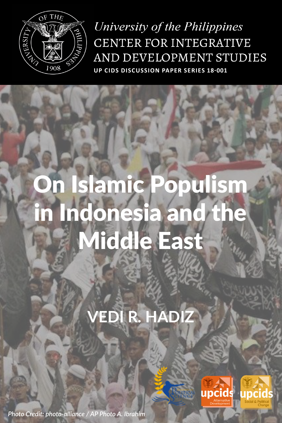

University of the Philippines CENTER FOR INTEGRATIVE AND DEVELOPMENT STUDIES **UP CIDS DISCUSSION PAPER SERIES 18-001**

# On Islamic Populism in Indonesia and the Middle East

## **VEDI R. HADIZ**



*Photo Credit: photo-alliance / AP Photo A. Ibrahim*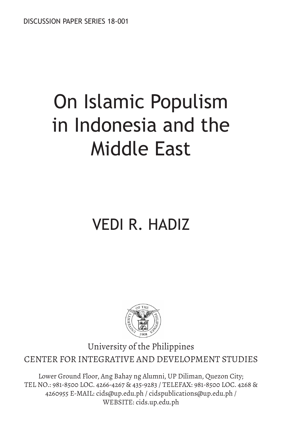# On Islamic Populism in Indonesia and the Middle East

## VEDI R. HADIZ



University of the Philippines CENTER FOR INTEGRATIVE AND DEVELOPMENT STUDIES

Lower Ground Floor, Ang Bahay ng Alumni, UP Diliman, Quezon City; TEL NO.: 981-8500 LOC. 4266-4267 & 435-9283 / TELEFAX: 981-8500 LOC. 4268 & 4260955 E-MAIL: cids@up.edu.ph / cidspublications@up.edu.ph / WEBSITE: cids.up.edu.ph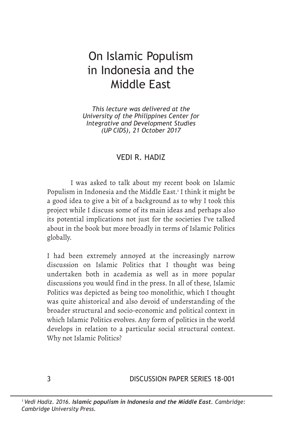## On Islamic Populism in Indonesia and the Middle East

*This lecture was delivered at the University of the Philippines Center for Integrative and Development Studies (UP CIDS), 21 October 2017*

#### VEDI R. HADIZ

I was asked to talk about my recent book on Islamic Populism in Indonesia and the Middle East.<sup>1</sup> I think it might be a good idea to give a bit of a background as to why I took this project while I discuss some of its main ideas and perhaps also its potential implications not just for the societies I've talked about in the book but more broadly in terms of Islamic Politics globally.

I had been extremely annoyed at the increasingly narrow discussion on Islamic Politics that I thought was being undertaken both in academia as well as in more popular discussions you would find in the press. In all of these, Islamic Politics was depicted as being too monolithic, which I thought was quite ahistorical and also devoid of understanding of the broader structural and socio-economic and political context in which Islamic Politics evolves. Any form of politics in the world develops in relation to a particular social structural context. Why not Islamic Politics?

3 DISCUSSION PAPER SERIES 18-001

*<sup>1</sup> Vedi Hadiz. 2016. Islamic populism in Indonesia and the Middle East. Cambridge: Cambridge University Press.*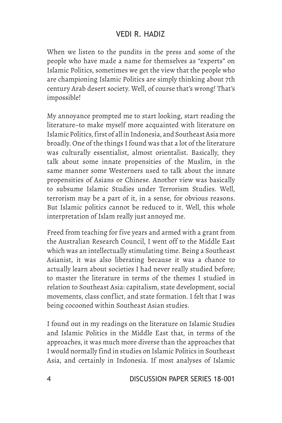When we listen to the pundits in the press and some of the people who have made a name for themselves as "experts" on Islamic Politics, sometimes we get the view that the people who are championing Islamic Politics are simply thinking about 7th century Arab desert society. Well, of course that's wrong! That's impossible!

My annoyance prompted me to start looking, start reading the literature–to make myself more acquainted with literature on Islamic Politics, first of all in Indonesia, and Southeast Asia more broadly. One of the things I found was that a lot of the literature was culturally essentialist, almost orientalist. Basically, they talk about some innate propensities of the Muslim, in the same manner some Westerners used to talk about the innate propensities of Asians or Chinese. Another view was basically to subsume Islamic Studies under Terrorism Studies. Well, terrorism may be a part of it, in a sense, for obvious reasons. But Islamic politics cannot be reduced to it. Well, this whole interpretation of Islam really just annoyed me.

Freed from teaching for five years and armed with a grant from the Australian Research Council, I went off to the Middle East which was an intellectually stimulating time. Being a Southeast Asianist, it was also liberating because it was a chance to actually learn about societies I had never really studied before; to master the literature in terms of the themes I studied in relation to Southeast Asia: capitalism, state development, social movements, class conflict, and state formation. I felt that I was being cocooned within Southeast Asian studies.

I found out in my readings on the literature on Islamic Studies and Islamic Politics in the Middle East that, in terms of the approaches, it was much more diverse than the approaches that I would normally find in studies on Islamic Politics in Southeast Asia, and certainly in Indonesia. If most analyses of Islamic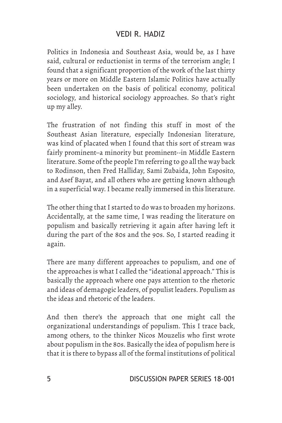Politics in Indonesia and Southeast Asia, would be, as I have said, cultural or reductionist in terms of the terrorism angle; I found that a significant proportion of the work of the last thirty years or more on Middle Eastern Islamic Politics have actually been undertaken on the basis of political economy, political sociology, and historical sociology approaches. So that's right up my alley.

The frustration of not finding this stuff in most of the Southeast Asian literature, especially Indonesian literature, was kind of placated when I found that this sort of stream was fairly prominent–a minority but prominent--in Middle Eastern literature. Some of the people I'm referring to go all the way back to Rodinson, then Fred Halliday, Sami Zubaida, John Esposito, and Asef Bayat, and all others who are getting known although in a superficial way. I became really immersed in this literature.

The other thing that I started to do was to broaden my horizons. Accidentally, at the same time, I was reading the literature on populism and basically retrieving it again after having left it during the part of the 80s and the 90s. So, I started reading it again.

There are many different approaches to populism, and one of the approaches is what I called the "ideational approach." This is basically the approach where one pays attention to the rhetoric and ideas of demagogic leaders, of populist leaders. Populism as the ideas and rhetoric of the leaders.

And then there's the approach that one might call the organizational understandings of populism. This I trace back, among others, to the thinker Nicos Mouzelis who first wrote about populism in the 80s. Basically the idea of populism here is that it is there to bypass all of the formal institutions of political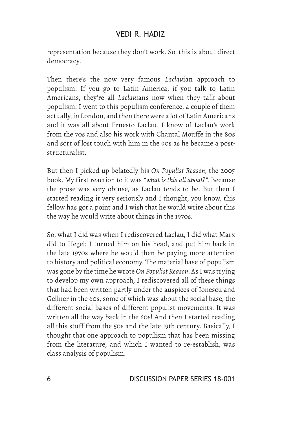representation because they don't work. So, this is about direct democracy.

Then there's the now very famous *Laclau*ian approach to populism. If you go to Latin America, if you talk to Latin Americans, they're all *Laclau*ians now when they talk about populism. I went to this populism conference, a couple of them actually, in London, and then there were a lot of Latin Americans and it was all about Ernesto Laclau. I know of Laclau's work from the 70s and also his work with Chantal Mouffe in the 80s and sort of lost touch with him in the 90s as he became a poststructuralist.

But then I picked up belatedly his *On Populist Reason*, the 2005 book. My first reaction to it was *"what is this all about?"*. Because the prose was very obtuse, as Laclau tends to be. But then I started reading it very seriously and I thought, you know, this fellow has got a point and I wish that he would write about this the way he would write about things in the 1970s.

So, what I did was when I rediscovered Laclau, I did what Marx did to Hegel: I turned him on his head, and put him back in the late 1970s where he would then be paying more attention to history and political economy. The material base of populism was gone by the time he wrote *On Populist Reason*. As I was trying to develop my own approach, I rediscovered all of these things that had been written partly under the auspices of Ionescu and Gellner in the 60s, some of which was about the social base, the different social bases of different populist movements. It was written all the way back in the 60s! And then I started reading all this stuff from the 50s and the late 19th century. Basically, I thought that one approach to populism that has been missing from the literature, and which I wanted to re-establish, was class analysis of populism.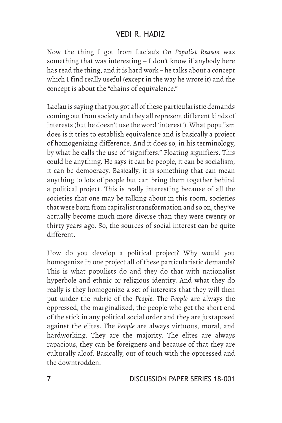Now the thing I got from Laclau's *On Populist Reason* was something that was interesting – I don't know if anybody here has read the thing, and it is hard work – he talks about a concept which I find really useful (except in the way he wrote it) and the concept is about the "chains of equivalence."

Laclau is saying that you got all of these particularistic demands coming out from society and they all represent different kinds of interests (but he doesn't use the word 'interest'). What populism does is it tries to establish equivalence and is basically a project of homogenizing difference. And it does so, in his terminology, by what he calls the use of "signifiers." Floating signifiers. This could be anything. He says it can be people, it can be socialism, it can be democracy. Basically, it is something that can mean anything to lots of people but can bring them together behind a political project. This is really interesting because of all the societies that one may be talking about in this room, societies that were born from capitalist transformation and so on, they've actually become much more diverse than they were twenty or thirty years ago. So, the sources of social interest can be quite different.

How do you develop a political project? Why would you homogenize in one project all of these particularistic demands? This is what populists do and they do that with nationalist hyperbole and ethnic or religious identity. And what they do really is they homogenize a set of interests that they will then put under the rubric of the *People*. The *People* are always the oppressed, the marginalized, the people who get the short end of the stick in any political social order and they are juxtaposed against the elites. The *People* are always virtuous, moral, and hardworking. They are the majority. The elites are always rapacious, they can be foreigners and because of that they are culturally aloof. Basically, out of touch with the oppressed and the downtrodden.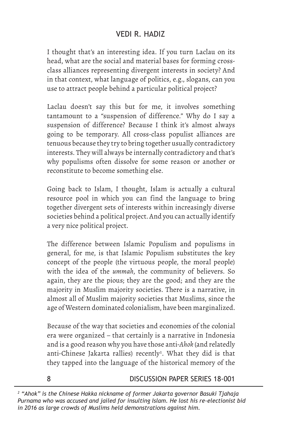I thought that's an interesting idea. If you turn Laclau on its head, what are the social and material bases for forming crossclass alliances representing divergent interests in society? And in that context, what language of politics, e.g., slogans, can you use to attract people behind a particular political project?

Laclau doesn't say this but for me, it involves something tantamount to a "suspension of difference." Why do I say a suspension of difference? Because I think it's almost always going to be temporary. All cross-class populist alliances are tenuous because they try to bring together usually contradictory interests. They will always be internally contradictory and that's why populisms often dissolve for some reason or another or reconstitute to become something else.

Going back to Islam, I thought, Islam is actually a cultural resource pool in which you can find the language to bring together divergent sets of interests within increasingly diverse societies behind a political project. And you can actually identify a very nice political project.

The difference between Islamic Populism and populisms in general, for me, is that Islamic Populism substitutes the key concept of the people (the virtuous people, the moral people) with the idea of the *ummah*, the community of believers. So again, they are the pious; they are the good; and they are the majority in Muslim majority societies. There is a narrative, in almost all of Muslim majority societies that Muslims, since the age of Western dominated colonialism, have been marginalized.

Because of the way that societies and economies of the colonial era were organized – that certainly is a narrative in Indonesia and is a good reason why you have those anti-*Ahok* (and relatedly anti-Chinese Jakarta rallies) recently<sup>2</sup>. What they did is that they tapped into the language of the historical memory of the

8

DISCUSSION PAPER SERIES 18-001

*<sup>2</sup> "Ahok" is the Chinese Hakka nickname of former Jakarta governor Basuki Tjahaja Purnama who was accused and jailed for insulting Islam. He lost his re-electionist bid in 2016 as large crowds of Muslims held demonstrations against him.*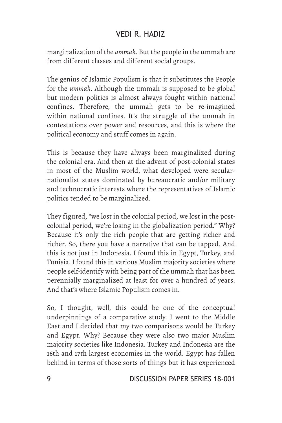marginalization of the *ummah*. But the people in the ummah are from different classes and different social groups.

The genius of Islamic Populism is that it substitutes the People for the *ummah*. Although the ummah is supposed to be global but modern politics is almost always fought within national confines. Therefore, the ummah gets to be re-imagined within national confines. It's the struggle of the ummah in contestations over power and resources, and this is where the political economy and stuff comes in again.

This is because they have always been marginalized during the colonial era. And then at the advent of post-colonial states in most of the Muslim world, what developed were secularnationalist states dominated by bureaucratic and/or military and technocratic interests where the representatives of Islamic politics tended to be marginalized.

They figured, "we lost in the colonial period, we lost in the postcolonial period, we're losing in the globalization period." Why? Because it's only the rich people that are getting richer and richer. So, there you have a narrative that can be tapped. And this is not just in Indonesia. I found this in Egypt, Turkey, and Tunisia. I found this in various Muslim majority societies where people self-identify with being part of the ummah that has been perennially marginalized at least for over a hundred of years. And that's where Islamic Populism comes in.

So, I thought, well, this could be one of the conceptual underpinnings of a comparative study. I went to the Middle East and I decided that my two comparisons would be Turkey and Egypt. Why? Because they were also two major Muslim majority societies like Indonesia. Turkey and Indonesia are the 16th and 17th largest economies in the world. Egypt has fallen behind in terms of those sorts of things but it has experienced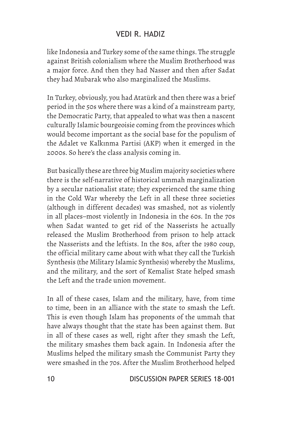like Indonesia and Turkey some of the same things. The struggle against British colonialism where the Muslim Brotherhood was a major force. And then they had Nasser and then after Sadat they had Mubarak who also marginalized the Muslims.

In Turkey, obviously, you had Atatürk and then there was a brief period in the 50s where there was a kind of a mainstream party, the Democratic Party, that appealed to what was then a nascent culturally Islamic bourgeoisie coming from the provinces which would become important as the social base for the populism of the Adalet ve Kalkınma Partisi (AKP) when it emerged in the 2000s. So here's the class analysis coming in.

But basically these are three big Muslim majority societies where there is the self-narrative of historical ummah marginalization by a secular nationalist state; they experienced the same thing in the Cold War whereby the Left in all these three societies (although in different decades) was smashed, not as violently in all places–most violently in Indonesia in the 60s. In the 70s when Sadat wanted to get rid of the Nasserists he actually released the Muslim Brotherhood from prison to help attack the Nasserists and the leftists. In the 80s, after the 1980 coup, the official military came about with what they call the Turkish Synthesis (the Military Islamic Synthesis) whereby the Muslims, and the military, and the sort of Kemalist State helped smash the Left and the trade union movement.

In all of these cases, Islam and the military, have, from time to time, been in an alliance with the state to smash the Left. This is even though Islam has proponents of the ummah that have always thought that the state has been against them. But in all of these cases as well, right after they smash the Left, the military smashes them back again. In Indonesia after the Muslims helped the military smash the Communist Party they were smashed in the 70s. After the Muslim Brotherhood helped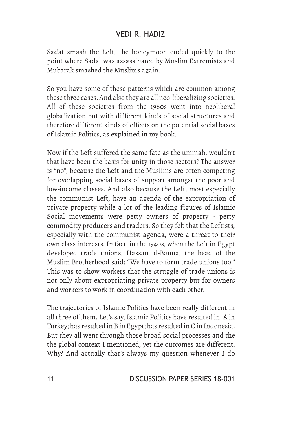Sadat smash the Left, the honeymoon ended quickly to the point where Sadat was assassinated by Muslim Extremists and Mubarak smashed the Muslims again.

So you have some of these patterns which are common among these three cases. And also they are all neo-liberalizing societies. All of these societies from the 1980s went into neoliberal globalization but with different kinds of social structures and therefore different kinds of effects on the potential social bases of Islamic Politics, as explained in my book.

Now if the Left suffered the same fate as the ummah, wouldn't that have been the basis for unity in those sectors? The answer is "no", because the Left and the Muslims are often competing for overlapping social bases of support amongst the poor and low-income classes. And also because the Left, most especially the communist Left, have an agenda of the expropriation of private property while a lot of the leading figures of Islamic Social movements were petty owners of property - petty commodity producers and traders. So they felt that the Leftists, especially with the communist agenda, were a threat to their own class interests. In fact, in the 1940s, when the Left in Egypt developed trade unions, Hassan al-Banna, the head of the Muslim Brotherhood said: "We have to form trade unions too." This was to show workers that the struggle of trade unions is not only about expropriating private property but for owners and workers to work in coordination with each other.

The trajectories of Islamic Politics have been really different in all three of them. Let's say, Islamic Politics have resulted in, A in Turkey; has resulted in B in Egypt; has resulted in C in Indonesia. But they all went through those broad social processes and the the global context I mentioned, yet the outcomes are different. Why? And actually that's always my question whenever I do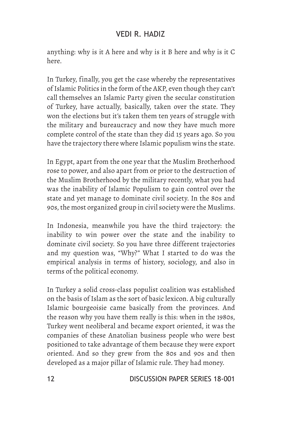anything: why is it A here and why is it B here and why is it C here.

In Turkey, finally, you get the case whereby the representatives of Islamic Politics in the form of the AKP, even though they can't call themselves an Islamic Party given the secular constitution of Turkey, have actually, basically, taken over the state. They won the elections but it's taken them ten years of struggle with the military and bureaucracy and now they have much more complete control of the state than they did 15 years ago. So you have the trajectory there where Islamic populism wins the state.

In Egypt, apart from the one year that the Muslim Brotherhood rose to power, and also apart from or prior to the destruction of the Muslim Brotherhood by the military recently, what you had was the inability of Islamic Populism to gain control over the state and yet manage to dominate civil society. In the 80s and 90s, the most organized group in civil society were the Muslims.

In Indonesia, meanwhile you have the third trajectory: the inability to win power over the state and the inability to dominate civil society. So you have three different trajectories and my question was, "Why?" What I started to do was the empirical analysis in terms of history, sociology, and also in terms of the political economy.

In Turkey a solid cross-class populist coalition was established on the basis of Islam as the sort of basic lexicon. A big culturally Islamic bourgeoisie came basically from the provinces. And the reason why you have them really is this: when in the 1980s, Turkey went neoliberal and became export oriented, it was the companies of these Anatolian business people who were best positioned to take advantage of them because they were export oriented. And so they grew from the 80s and 90s and then developed as a major pillar of Islamic rule. They had money.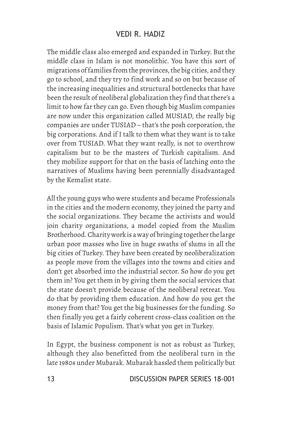The middle class also emerged and expanded in Turkey. But the middle class in Islam is not monolithic. You have this sort of migrations of families from the provinces, the big cities, and they go to school, and they try to find work and so on but because of the increasing inequalities and structural bottlenecks that have been the result of neoliberal globalization they find that there's a limit to how far they can go. Even though big Muslim companies are now under this organization called MUSIAD, the really big companies are under TUSIAD – that's the posh corporation, the big corporations. And if I talk to them what they want is to take over from TUSIAD. What they want really, is not to overthrow capitalism but to be the masters of Turkish capitalism. And they mobilize support for that on the basis of latching onto the narratives of Muslims having been perennially disadvantaged by the Kemalist state.

All the young guys who were students and became Professionals in the cities and the modern economy, they joined the party and the social organizations. They became the activists and would join charity organizations, a model copied from the Muslim Brotherhood. Charity work is a way of bringing together the large urban poor masses who live in huge swaths of slums in all the big cities of Turkey. They have been created by neoliberalization as people move from the villages into the towns and cities and don't get absorbed into the industrial sector. So how do you get them in? You get them in by giving them the social services that the state doesn't provide because of the neoliberal retreat. You do that by providing them education. And how do you get the money from that? You get the big businesses for the funding. So then finally you get a fairly coherent cross-class coalition on the basis of Islamic Populism. That's what you get in Turkey.

In Egypt, the business component is not as robust as Turkey, although they also benefitted from the neoliberal turn in the late 1980s under Mubarak. Mubarak hassled them politically but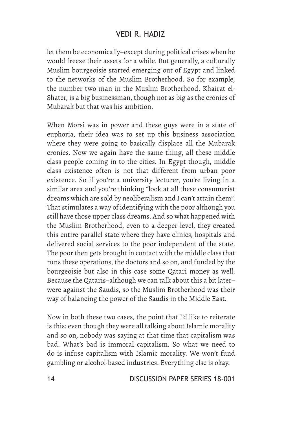let them be economically–except during political crises when he would freeze their assets for a while. But generally, a culturally Muslim bourgeoisie started emerging out of Egypt and linked to the networks of the Muslim Brotherhood. So for example, the number two man in the Muslim Brotherhood, Khairat el-Shater, is a big businessman, though not as big as the cronies of Mubarak but that was his ambition.

When Morsi was in power and these guys were in a state of euphoria, their idea was to set up this business association where they were going to basically displace all the Mubarak cronies. Now we again have the same thing, all these middle class people coming in to the cities. In Egypt though, middle class existence often is not that different from urban poor existence. So if you're a university lecturer, you're living in a similar area and you're thinking "look at all these consumerist dreams which are sold by neoliberalism and I can't attain them". That stimulates a way of identifying with the poor although you still have those upper class dreams. And so what happened with the Muslim Brotherhood, even to a deeper level, they created this entire parallel state where they have clinics, hospitals and delivered social services to the poor independent of the state. The poor then gets brought in contact with the middle class that runs these operations, the doctors and so on, and funded by the bourgeoisie but also in this case some Qatari money as well. Because the Qataris–although we can talk about this a bit later– were against the Saudis, so the Muslim Brotherhood was their way of balancing the power of the Saudis in the Middle East.

Now in both these two cases, the point that I'd like to reiterate is this: even though they were all talking about Islamic morality and so on, nobody was saying at that time that capitalism was bad. What's bad is immoral capitalism. So what we need to do is infuse capitalism with Islamic morality. We won't fund gambling or alcohol-based industries. Everything else is okay.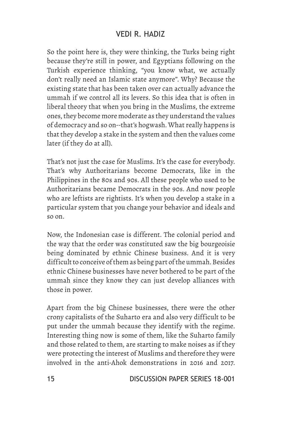So the point here is, they were thinking, the Turks being right because they're still in power, and Egyptians following on the Turkish experience thinking, "you know what, we actually don't really need an Islamic state anymore". Why? Because the existing state that has been taken over can actually advance the ummah if we control all its levers. So this idea that is often in liberal theory that when you bring in the Muslims, the extreme ones, they become more moderate as they understand the values of democracy and so on--that's hogwash. What really happens is that they develop a stake in the system and then the values come later (if they do at all).

That's not just the case for Muslims. It's the case for everybody. That's why Authoritarians become Democrats, like in the Philippines in the 80s and 90s. All these people who used to be Authoritarians became Democrats in the 90s. And now people who are leftists are rightists. It's when you develop a stake in a particular system that you change your behavior and ideals and so on.

Now, the Indonesian case is different. The colonial period and the way that the order was constituted saw the big bourgeoisie being dominated by ethnic Chinese business. And it is very difficult to conceive of them as being part of the ummah. Besides ethnic Chinese businesses have never bothered to be part of the ummah since they know they can just develop alliances with those in power.

Apart from the big Chinese businesses, there were the other crony capitalists of the Suharto era and also very difficult to be put under the ummah because they identify with the regime. Interesting thing now is some of them, like the Suharto family and those related to them, are starting to make noises as if they were protecting the interest of Muslims and therefore they were involved in the anti-Ahok demonstrations in 2016 and 2017.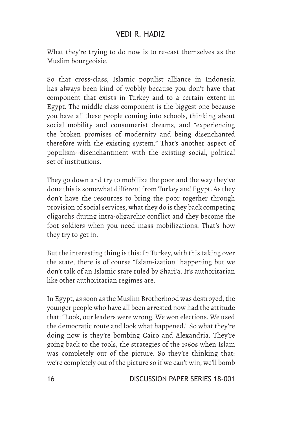What they're trying to do now is to re-cast themselves as the Muslim bourgeoisie.

So that cross-class, Islamic populist alliance in Indonesia has always been kind of wobbly because you don't have that component that exists in Turkey and to a certain extent in Egypt. The middle class component is the biggest one because you have all these people coming into schools, thinking about social mobility and consumerist dreams, and "experiencing the broken promises of modernity and being disenchanted therefore with the existing system." That's another aspect of populism--disenchantment with the existing social, political set of institutions.

They go down and try to mobilize the poor and the way they've done this is somewhat different from Turkey and Egypt. As they don't have the resources to bring the poor together through provision of social services, what they do is they back competing oligarchs during intra-oligarchic conflict and they become the foot soldiers when you need mass mobilizations. That's how they try to get in.

But the interesting thing is this: In Turkey, with this taking over the state, there is of course "Islam-ization" happening but we don't talk of an Islamic state ruled by Shari'a. It's authoritarian like other authoritarian regimes are.

In Egypt, as soon as the Muslim Brotherhood was destroyed, the younger people who have all been arrested now had the attitude that: "Look, our leaders were wrong. We won elections. We used the democratic route and look what happened." So what they're doing now is they're bombing Cairo and Alexandria. They're going back to the tools, the strategies of the 1960s when Islam was completely out of the picture. So they're thinking that: we're completely out of the picture so if we can't win, we'll bomb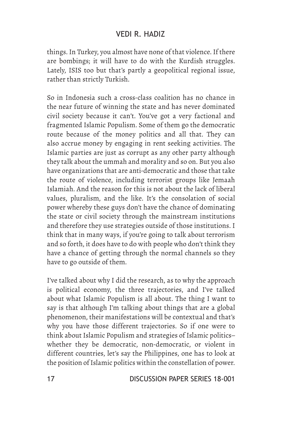things. In Turkey, you almost have none of that violence. If there are bombings; it will have to do with the Kurdish struggles. Lately, ISIS too but that's partly a geopolitical regional issue, rather than strictly Turkish.

So in Indonesia such a cross-class coalition has no chance in the near future of winning the state and has never dominated civil society because it can't. You've got a very factional and fragmented Islamic Populism. Some of them go the democratic route because of the money politics and all that. They can also accrue money by engaging in rent seeking activities. The Islamic parties are just as corrupt as any other party although they talk about the ummah and morality and so on. But you also have organizations that are anti-democratic and those that take the route of violence, including terrorist groups like Jemaah Islamiah. And the reason for this is not about the lack of liberal values, pluralism, and the like. It's the consolation of social power whereby these guys don't have the chance of dominating the state or civil society through the mainstream institutions and therefore they use strategies outside of those institutions. I think that in many ways, if you're going to talk about terrorism and so forth, it does have to do with people who don't think they have a chance of getting through the normal channels so they have to go outside of them.

I've talked about why I did the research, as to why the approach is political economy, the three trajectories, and I've talked about what Islamic Populism is all about. The thing I want to say is that although I'm talking about things that are a global phenomenon, their manifestations will be contextual and that's why you have those different trajectories. So if one were to think about Islamic Populism and strategies of Islamic politics– whether they be democratic, non-democratic, or violent in different countries, let's say the Philippines, one has to look at the position of Islamic politics within the constellation of power.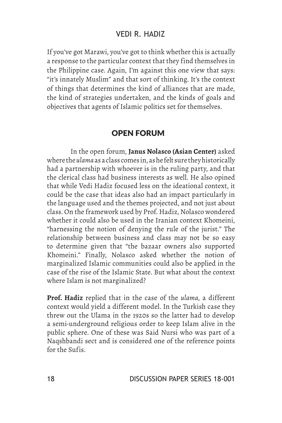If you've got Marawi, you've got to think whether this is actually a response to the particular context that they find themselves in the Philippine case. Again, I'm against this one view that says: "it's innately Muslim" and that sort of thinking. It's the context of things that determines the kind of alliances that are made, the kind of strategies undertaken, and the kinds of goals and objectives that agents of Islamic politics set for themselves.

#### OPEN FORUM

In the open forum, **Janus Nolasco (Asian Center)** asked where the *ulama* as a class comes in, as he felt sure they historically had a partnership with whoever is in the ruling party, and that the clerical class had business interests as well. He also opined that while Vedi Hadiz focused less on the ideational context, it could be the case that ideas also had an impact particularly in the language used and the themes projected, and not just about class. On the framework used by Prof. Hadiz, Nolasco wondered whether it could also be used in the Iranian context Khomeini, "harnessing the notion of denying the rule of the jurist." The relationship between business and class may not be so easy to determine given that "the bazaar owners also supported Khomeini." Finally, Nolasco asked whether the notion of marginalized Islamic communities could also be applied in the case of the rise of the Islamic State. But what about the context where Islam is not marginalized?

**Prof. Hadiz** replied that in the case of the *ulama*, a different context would yield a different model. In the Turkish case they threw out the Ulama in the 1920s so the latter had to develop a semi-underground religious order to keep Islam alive in the public sphere. One of these was Said Nursi who was part of a Naqshbandi sect and is considered one of the reference points for the Sufis.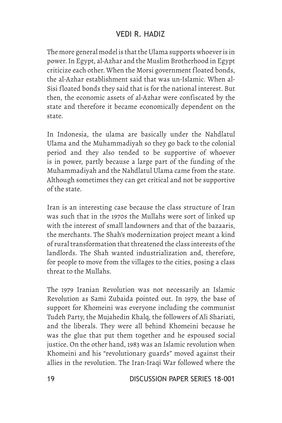The more general model is that the Ulama supports whoever is in power. In Egypt, al-Azhar and the Muslim Brotherhood in Egypt criticize each other. When the Morsi government floated bonds, the al-Azhar establishment said that was un-Islamic. When al-Sisi floated bonds they said that is for the national interest. But then, the economic assets of al-Azhar were confiscated by the state and therefore it became economically dependent on the state.

In Indonesia, the ulama are basically under the Nahdlatul Ulama and the Muhammadiyah so they go back to the colonial period and they also tended to be supportive of whoever is in power, partly because a large part of the funding of the Muhammadiyah and the Nahdlatul Ulama came from the state. Although sometimes they can get critical and not be supportive of the state.

Iran is an interesting case because the class structure of Iran was such that in the 1970s the Mullahs were sort of linked up with the interest of small landowners and that of the bazaaris, the merchants. The Shah's modernization project meant a kind of rural transformation that threatened the class interests of the landlords. The Shah wanted industrialization and, therefore, for people to move from the villages to the cities, posing a class threat to the Mullahs.

The 1979 Iranian Revolution was not necessarily an Islamic Revolution as Sami Zubaida pointed out. In 1979, the base of support for Khomeini was everyone including the communist Tudeh Party, the Mujahedin Khalq, the followers of Ali Shariati, and the liberals. They were all behind Khomeini because he was the glue that put them together and he espoused social justice. On the other hand, 1983 was an Islamic revolution when Khomeini and his "revolutionary guards" moved against their allies in the revolution. The Iran-Iraqi War followed where the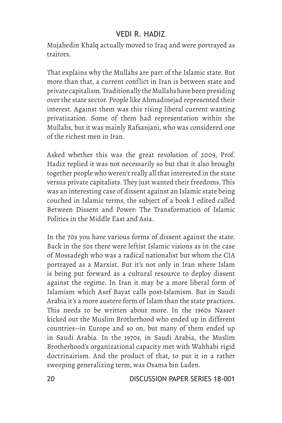Mujahedin Khalq actually moved to Iraq and were portrayed as traitors.

That explains why the Mullahs are part of the Islamic state. But more than that, a current conflict in Iran is between state and private capitalism. Traditionally the Mullahs have been presiding over the state sector. People like Ahmadinejad represented their interest. Against them was this rising liberal current wanting privatization. Some of them had representation within the Mullahs, but it was mainly Rafsanjani, who was considered one of the richest men in Iran.

Asked whether this was the great revolution of 2009, Prof. Hadiz replied it was not necessarily so but that it also brought together people who weren't really all that interested in the state versus private capitalists. They just wanted their freedoms. This was an interesting case of dissent against an Islamic state being couched in Islamic terms, the subject of a book I edited called Between Dissent and Power: The Transformation of Islamic Politics in the Middle East and Asia.

In the 70s you have various forms of dissent against the state. Back in the 50s there were leftist Islamic visions as in the case of Mossadegh who was a radical nationalist but whom the CIA portrayed as a Marxist. But it's not only in Iran where Islam is being put forward as a cultural resource to deploy dissent against the regime. In Iran it may be a more liberal form of Islamism which Asef Bayat calls post-Islamism. But in Saudi Arabia it's a more austere form of Islam than the state practices. This needs to be written about more. In the 1960s Nasser kicked out the Muslim Brotherhood who ended up in different countries--in Europe and so on, but many of them ended up in Saudi Arabia. In the 1970s, in Saudi Arabia, the Muslim Brotherhood's organizational capacity met with Wahhabi rigid doctrinairism. And the product of that, to put it in a rather sweeping generalizing term, was Osama bin Laden.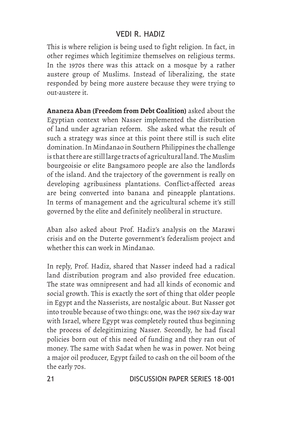This is where religion is being used to fight religion. In fact, in other regimes which legitimize themselves on religious terms. In the 1970s there was this attack on a mosque by a rather austere group of Muslims. Instead of liberalizing, the state responded by being more austere because they were trying to out-austere it.

**Ananeza Aban (Freedom from Debt Coalition)** asked about the Egyptian context when Nasser implemented the distribution of land under agrarian reform. She asked what the result of such a strategy was since at this point there still is such elite domination. In Mindanao in Southern Philippines the challenge is that there are still large tracts of agricultural land. The Muslim bourgeoisie or elite Bangsamoro people are also the landlords of the island. And the trajectory of the government is really on developing agribusiness plantations. Conflict-affected areas are being converted into banana and pineapple plantations. In terms of management and the agricultural scheme it's still governed by the elite and definitely neoliberal in structure.

Aban also asked about Prof. Hadiz's analysis on the Marawi crisis and on the Duterte government's federalism project and whether this can work in Mindanao.

In reply, Prof. Hadiz, shared that Nasser indeed had a radical land distribution program and also provided free education. The state was omnipresent and had all kinds of economic and social growth. This is exactly the sort of thing that older people in Egypt and the Nasserists, are nostalgic about. But Nasser got into trouble because of two things: one, was the 1967 six-day war with Israel, where Egypt was completely routed thus beginning the process of delegitimizing Nasser. Secondly, he had fiscal policies born out of this need of funding and they ran out of money. The same with Sadat when he was in power. Not being a major oil producer, Egypt failed to cash on the oil boom of the the early 70s.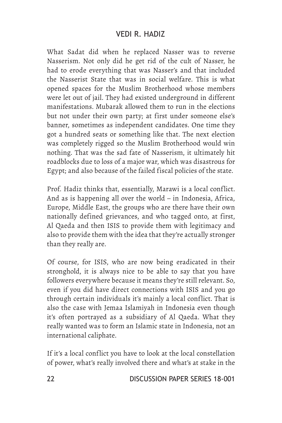What Sadat did when he replaced Nasser was to reverse Nasserism. Not only did he get rid of the cult of Nasser, he had to erode everything that was Nasser's and that included the Nasserist State that was in social welfare. This is what opened spaces for the Muslim Brotherhood whose members were let out of jail. They had existed underground in different manifestations. Mubarak allowed them to run in the elections but not under their own party; at first under someone else's banner, sometimes as independent candidates. One time they got a hundred seats or something like that. The next election was completely rigged so the Muslim Brotherhood would win nothing. That was the sad fate of Nasserism, it ultimately hit roadblocks due to loss of a major war, which was disastrous for Egypt; and also because of the failed fiscal policies of the state.

Prof. Hadiz thinks that, essentially, Marawi is a local conflict. And as is happening all over the world – in Indonesia, Africa, Europe, Middle East, the groups who are there have their own nationally defined grievances, and who tagged onto, at first, Al Qaeda and then ISIS to provide them with legitimacy and also to provide them with the idea that they're actually stronger than they really are.

Of course, for ISIS, who are now being eradicated in their stronghold, it is always nice to be able to say that you have followers everywhere because it means they're still relevant. So, even if you did have direct connections with ISIS and you go through certain individuals it's mainly a local conflict. That is also the case with Jemaa Islamiyah in Indonesia even though it's often portrayed as a subsidiary of Al Qaeda. What they really wanted was to form an Islamic state in Indonesia, not an international caliphate.

If it's a local conflict you have to look at the local constellation of power, what's really involved there and what's at stake in the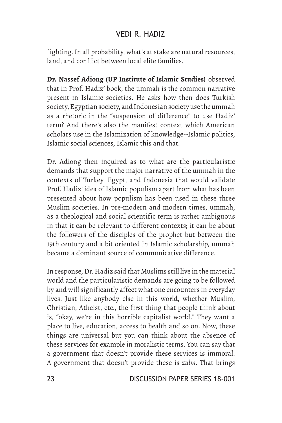fighting. In all probability, what's at stake are natural resources, land, and conflict between local elite families.

**Dr. Nassef Adiong (UP Institute of Islamic Studies)** observed that in Prof. Hadiz' book, the ummah is the common narrative present in Islamic societies. He asks how then does Turkish society, Egyptian society, and Indonesian society use the ummah as a rhetoric in the "suspension of difference" to use Hadiz' term? And there's also the manifest context which American scholars use in the Islamization of knowledge--Islamic politics, Islamic social sciences, Islamic this and that.

Dr. Adiong then inquired as to what are the particularistic demands that support the major narrative of the ummah in the contexts of Turkey, Egypt, and Indonesia that would validate Prof. Hadiz' idea of Islamic populism apart from what has been presented about how populism has been used in these three Muslim societies. In pre-modern and modern times, ummah, as a theological and social scientific term is rather ambiguous in that it can be relevant to different contexts; it can be about the followers of the disciples of the prophet but between the 19th century and a bit oriented in Islamic scholarship, ummah became a dominant source of communicative difference.

In response, Dr. Hadiz said that Muslims still live in the material world and the particularistic demands are going to be followed by and will significantly affect what one encounters in everyday lives. Just like anybody else in this world, whether Muslim, Christian, Atheist, etc., the first thing that people think about is, "okay, we're in this horrible capitalist world." They want a place to live, education, access to health and so on. Now, these things are universal but you can think about the absence of these services for example in moralistic terms. You can say that a government that doesn't provide these services is immoral. A government that doesn't provide these is *zulm*. That brings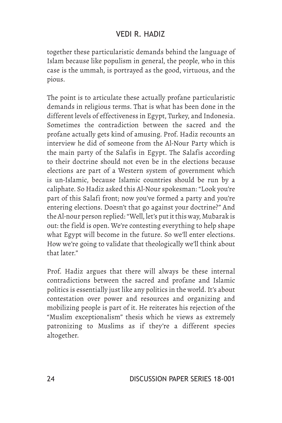together these particularistic demands behind the language of Islam because like populism in general, the people, who in this case is the ummah, is portrayed as the good, virtuous, and the pious.

The point is to articulate these actually profane particularistic demands in religious terms. That is what has been done in the different levels of effectiveness in Egypt, Turkey, and Indonesia. Sometimes the contradiction between the sacred and the profane actually gets kind of amusing. Prof. Hadiz recounts an interview he did of someone from the Al-Nour Party which is the main party of the Salafis in Egypt. The Salafis according to their doctrine should not even be in the elections because elections are part of a Western system of government which is un-Islamic, because Islamic countries should be run by a caliphate. So Hadiz asked this Al-Nour spokesman: "Look you're part of this Salafi front; now you've formed a party and you're entering elections. Doesn't that go against your doctrine?" And the Al-nour person replied: "Well, let's put it this way, Mubarak is out: the field is open. We're contesting everything to help shape what Egypt will become in the future. So we'll enter elections. How we're going to validate that theologically we'll think about that later."

Prof. Hadiz argues that there will always be these internal contradictions between the sacred and profane and Islamic politics is essentially just like any politics in the world. It's about contestation over power and resources and organizing and mobilizing people is part of it. He reiterates his rejection of the "Muslim exceptionalism" thesis which he views as extremely patronizing to Muslims as if they're a different species altogether.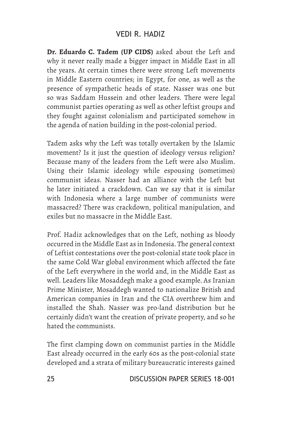**Dr. Eduardo C. Tadem (UP CIDS)** asked about the Left and why it never really made a bigger impact in Middle East in all the years. At certain times there were strong Left movements in Middle Eastern countries; in Egypt, for one, as well as the presence of sympathetic heads of state. Nasser was one but so was Saddam Hussein and other leaders. There were legal communist parties operating as well as other leftist groups and they fought against colonialism and participated somehow in the agenda of nation building in the post-colonial period.

Tadem asks why the Left was totally overtaken by the Islamic movement? Is it just the question of ideology versus religion? Because many of the leaders from the Left were also Muslim. Using their Islamic ideology while espousing (sometimes) communist ideas. Nasser had an alliance with the Left but he later initiated a crackdown. Can we say that it is similar with Indonesia where a large number of communists were massacred? There was crackdown, political manipulation, and exiles but no massacre in the Middle East.

Prof. Hadiz acknowledges that on the Left, nothing as bloody occurred in the Middle East as in Indonesia. The general context of Leftist contestations over the post-colonial state took place in the same Cold War global environment which affected the fate of the Left everywhere in the world and, in the Middle East as well. Leaders like Mosaddegh make a good example. As Iranian Prime Minister, Mosaddegh wanted to nationalize British and American companies in Iran and the CIA overthrew him and installed the Shah. Nasser was pro-land distribution but he certainly didn't want the creation of private property, and so he hated the communists.

The first clamping down on communist parties in the Middle East already occurred in the early 60s as the post-colonial state developed and a strata of military bureaucratic interests gained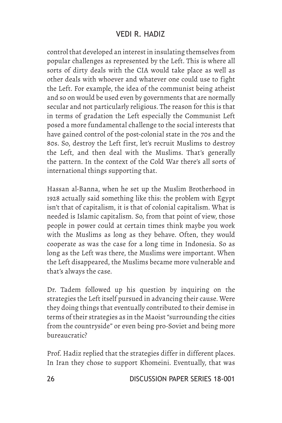control that developed an interest in insulating themselves from popular challenges as represented by the Left. This is where all sorts of dirty deals with the CIA would take place as well as other deals with whoever and whatever one could use to fight the Left. For example, the idea of the communist being atheist and so on would be used even by governments that are normally secular and not particularly religious. The reason for this is that in terms of gradation the Left especially the Communist Left posed a more fundamental challenge to the social interests that have gained control of the post-colonial state in the 70s and the 80s. So, destroy the Left first, let's recruit Muslims to destroy the Left, and then deal with the Muslims. That's generally the pattern. In the context of the Cold War there's all sorts of international things supporting that.

Hassan al-Banna, when he set up the Muslim Brotherhood in 1928 actually said something like this: the problem with Egypt isn't that of capitalism, it is that of colonial capitalism. What is needed is Islamic capitalism. So, from that point of view, those people in power could at certain times think maybe you work with the Muslims as long as they behave. Often, they would cooperate as was the case for a long time in Indonesia. So as long as the Left was there, the Muslims were important. When the Left disappeared, the Muslims became more vulnerable and that's always the case.

Dr. Tadem followed up his question by inquiring on the strategies the Left itself pursued in advancing their cause. Were they doing things that eventually contributed to their demise in terms of their strategies as in the Maoist "surrounding the cities from the countryside" or even being pro-Soviet and being more bureaucratic?

Prof. Hadiz replied that the strategies differ in different places. In Iran they chose to support Khomeini. Eventually, that was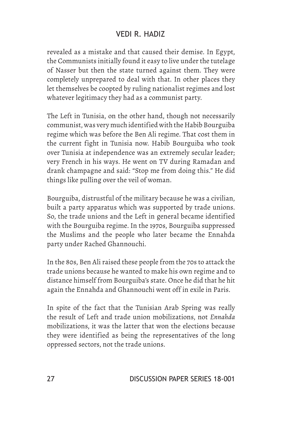revealed as a mistake and that caused their demise. In Egypt, the Communists initially found it easy to live under the tutelage of Nasser but then the state turned against them. They were completely unprepared to deal with that. In other places they let themselves be coopted by ruling nationalist regimes and lost whatever legitimacy they had as a communist party.

The Left in Tunisia, on the other hand, though not necessarily communist, was very much identified with the Habib Bourguiba regime which was before the Ben Ali regime. That cost them in the current fight in Tunisia now. Habib Bourguiba who took over Tunisia at independence was an extremely secular leader; very French in his ways. He went on TV during Ramadan and drank champagne and said: "Stop me from doing this." He did things like pulling over the veil of woman.

Bourguiba, distrustful of the military because he was a civilian, built a party apparatus which was supported by trade unions. So, the trade unions and the Left in general became identified with the Bourguiba regime. In the 1970s, Bourguiba suppressed the Muslims and the people who later became the Ennahda party under Rached Ghannouchi.

In the 80s, Ben Ali raised these people from the 70s to attack the trade unions because he wanted to make his own regime and to distance himself from Bourguiba's state. Once he did that he hit again the Ennahda and Ghannouchi went off in exile in Paris.

In spite of the fact that the Tunisian Arab Spring was really the result of Left and trade union mobilizations, not *Ennahda* mobilizations, it was the latter that won the elections because they were identified as being the representatives of the long oppressed sectors, not the trade unions.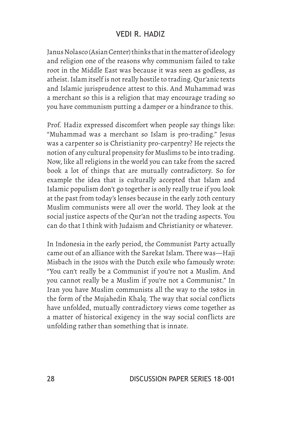Janus Nolasco (Asian Center) thinks that in the matter of ideology and religion one of the reasons why communism failed to take root in the Middle East was because it was seen as godless, as atheist. Islam itself is not really hostile to trading. Qur'anic texts and Islamic jurisprudence attest to this. And Muhammad was a merchant so this is a religion that may encourage trading so you have communism putting a damper or a hindrance to this.

Prof. Hadiz expressed discomfort when people say things like: "Muhammad was a merchant so Islam is pro-trading." Jesus was a carpenter so is Christianity pro-carpentry? He rejects the notion of any cultural propensity for Muslims to be into trading. Now, like all religions in the world you can take from the sacred book a lot of things that are mutually contradictory. So for example the idea that is culturally accepted that Islam and Islamic populism don't go together is only really true if you look at the past from today's lenses because in the early 20th century Muslim communists were all over the world. They look at the social justice aspects of the Qur'an not the trading aspects. You can do that I think with Judaism and Christianity or whatever.

In Indonesia in the early period, the Communist Party actually came out of an alliance with the Sarekat Islam. There was—Haji Misbach in the 1910s with the Dutch exile who famously wrote: "You can't really be a Communist if you're not a Muslim. And you cannot really be a Muslim if you're not a Communist." In Iran you have Muslim communists all the way to the 1980s in the form of the Mujahedin Khalq. The way that social conflicts have unfolded, mutually contradictory views come together as a matter of historical exigency in the way social conflicts are unfolding rather than something that is innate.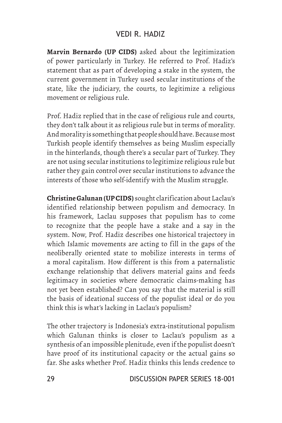**Marvin Bernardo (UP CIDS)** asked about the legitimization of power particularly in Turkey. He referred to Prof. Hadiz's statement that as part of developing a stake in the system, the current government in Turkey used secular institutions of the state, like the judiciary, the courts, to legitimize a religious movement or religious rule.

Prof. Hadiz replied that in the case of religious rule and courts, they don't talk about it as religious rule but in terms of morality. And morality is something that people should have. Because most Turkish people identify themselves as being Muslim especially in the hinterlands, though there's a secular part of Turkey. They are not using secular institutions to legitimize religious rule but rather they gain control over secular institutions to advance the interests of those who self-identify with the Muslim struggle.

**Christine Galunan (UP CIDS)** sought clarification about Laclau's identified relationship between populism and democracy. In his framework, Laclau supposes that populism has to come to recognize that the people have a stake and a say in the system. Now, Prof. Hadiz describes one historical trajectory in which Islamic movements are acting to fill in the gaps of the neoliberally oriented state to mobilize interests in terms of a moral capitalism. How different is this from a paternalistic exchange relationship that delivers material gains and feeds legitimacy in societies where democratic claims-making has not yet been established? Can you say that the material is still the basis of ideational success of the populist ideal or do you think this is what's lacking in Laclau's populism?

The other trajectory is Indonesia's extra-institutional populism which Galunan thinks is closer to Laclau's populism as a synthesis of an impossible plenitude, even if the populist doesn't have proof of its institutional capacity or the actual gains so far. She asks whether Prof. Hadiz thinks this lends credence to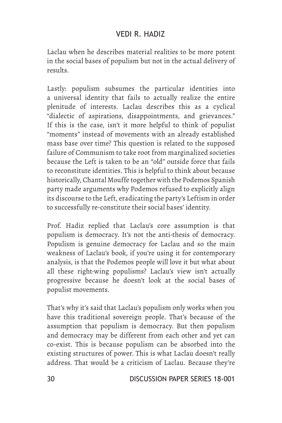Laclau when he describes material realities to be more potent in the social bases of populism but not in the actual delivery of results.

Lastly: populism subsumes the particular identities into a universal identity that fails to actually realize the entire plenitude of interests. Laclau describes this as a cyclical "dialectic of aspirations, disappointments, and grievances." If this is the case, isn't it more helpful to think of populist "moments" instead of movements with an already established mass base over time? This question is related to the supposed failure of Communism to take root from marginalized societies because the Left is taken to be an "old" outside force that fails to reconstitute identities. This is helpful to think about because historically, Chantal Mouffe together with the Podemos Spanish party made arguments why Podemos refused to explicitly align its discourse to the Left, eradicating the party's Leftism in order to successfully re-constitute their social bases' identity.

Prof. Hadiz replied that Laclau's core assumption is that populism is democracy. It's not the anti-thesis of democracy. Populism is genuine democracy for Laclau and so the main weakness of Laclau's book, if you're using it for contemporary analysis, is that the Podemos people will love it but what about all these right-wing populisms? Laclau's view isn't actually progressive because he doesn't look at the social bases of populist movements.

That's why it's said that Laclau's populism only works when you have this traditional sovereign people. That's because of the assumption that populism is democracy. But then populism and democracy may be different from each other and yet can co-exist. This is because populism can be absorbed into the existing structures of power. This is what Laclau doesn't really address. That would be a criticism of Laclau. Because they're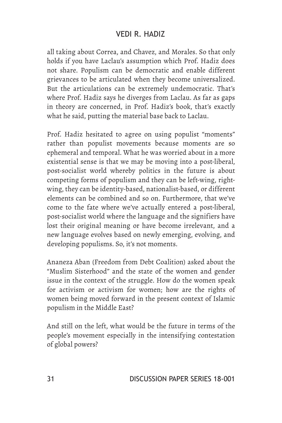all taking about Correa, and Chavez, and Morales. So that only holds if you have Laclau's assumption which Prof. Hadiz does not share. Populism can be democratic and enable different grievances to be articulated when they become universalized. But the articulations can be extremely undemocratic. That's where Prof. Hadiz says he diverges from Laclau. As far as gaps in theory are concerned, in Prof. Hadiz's book, that's exactly what he said, putting the material base back to Laclau.

Prof. Hadiz hesitated to agree on using populist "moments" rather than populist movements because moments are so ephemeral and temporal. What he was worried about in a more existential sense is that we may be moving into a post-liberal, post-socialist world whereby politics in the future is about competing forms of populism and they can be left-wing, rightwing, they can be identity-based, nationalist-based, or different elements can be combined and so on. Furthermore, that we've come to the fate where we've actually entered a post-liberal, post-socialist world where the language and the signifiers have lost their original meaning or have become irrelevant, and a new language evolves based on newly emerging, evolving, and developing populisms. So, it's not moments.

Ananeza Aban (Freedom from Debt Coalition) asked about the "Muslim Sisterhood" and the state of the women and gender issue in the context of the struggle. How do the women speak for activism or activism for women; how are the rights of women being moved forward in the present context of Islamic populism in the Middle East?

And still on the left, what would be the future in terms of the people's movement especially in the intensifying contestation of global powers?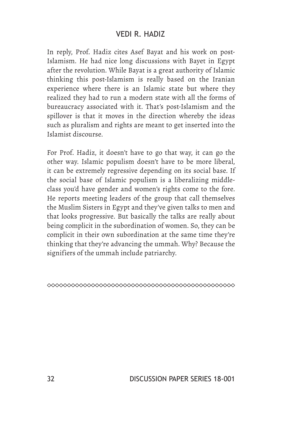In reply, Prof. Hadiz cites Asef Bayat and his work on post-Islamism. He had nice long discussions with Bayet in Egypt after the revolution. While Bayat is a great authority of Islamic thinking this post-Islamism is really based on the Iranian experience where there is an Islamic state but where they realized they had to run a modern state with all the forms of bureaucracy associated with it. That's post-Islamism and the spillover is that it moves in the direction whereby the ideas such as pluralism and rights are meant to get inserted into the Islamist discourse.

For Prof. Hadiz, it doesn't have to go that way, it can go the other way. Islamic populism doesn't have to be more liberal, it can be extremely regressive depending on its social base. If the social base of Islamic populism is a liberalizing middleclass you'd have gender and women's rights come to the fore. He reports meeting leaders of the group that call themselves the Muslim Sisters in Egypt and they've given talks to men and that looks progressive. But basically the talks are really about being complicit in the subordination of women. So, they can be complicit in their own subordination at the same time they're thinking that they're advancing the ummah. Why? Because the signifiers of the ummah include patriarchy.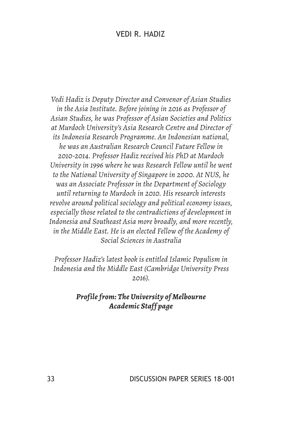*Vedi Hadiz is Deputy Director and Convenor of Asian Studies in the Asia Institute. Before joining in 2016 as Professor of Asian Studies, he was Professor of Asian Societies and Politics at Murdoch University's Asia Research Centre and Director of its Indonesia Research Programme. An Indonesian national, he was an Australian Research Council Future Fellow in 2010-2014. Professor Hadiz received his PhD at Murdoch University in 1996 where he was Research Fellow until he went to the National University of Singapore in 2000. At NUS, he was an Associate Professor in the Department of Sociology until returning to Murdoch in 2010. His research interests revolve around political sociology and political economy issues, especially those related to the contradictions of development in Indonesia and Southeast Asia more broadly, and more recently, in the Middle East. He is an elected Fellow of the Academy of Social Sciences in Australia*

*Professor Hadiz's latest book is entitled Islamic Populism in Indonesia and the Middle East (Cambridge University Press 2016).*

#### *Profile from: The University of Melbourne Academic Staff page*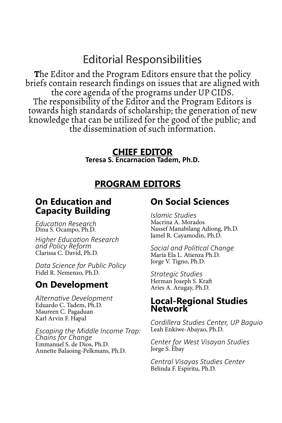## Editorial Responsibilities

**T**he Editor and the Program Editors ensure that the policy briefs contain research findings on issues that are aligned with the core agenda of the programs under UP CIDS. The responsibility of the Editor and the Program Editors is towards high standards of scholarship; the generation of new knowledge that can be utilized for the good of the public; and the dissemination of such information.

#### **CHIEF EDITOR**

**Teresa S. Encarnacion Tadem, Ph.D.**

#### **PROGRAM EDITORS**

#### **On Education and Capacity Building**

*Education Research*  Dina S. Ocampo, Ph.D.

*Higher Education Research and Policy Reform* Clarissa C. David, Ph.D.

*Data Science for Public Policy* Fidel R. Nemenzo, Ph.D.

### **On Development**

*Alternative Development* Eduardo C. Tadem, Ph.D. Maureen C. Pagaduan Karl Arvin F. Hapal

*Escaping the Middle Income Trap: Chains for Change* Emmanuel S. de Dios, Ph.D. Annette Balaoing-Pelkmans, Ph.D.

#### **On Social Sciences**

*Islamic Studies* Macrina A. Morados Nassef Manabilang Adiong, Ph.D. Jamel R. Cayamodin, Ph.D.

*Social and Political Change* Maria Ela L. Atienza Ph.D. Jorge V. Tigno, Ph.D.

*Strategic Studies* Herman Joseph S. Kraft Aries A. Arugay, Ph.D.

#### **Local-Regional Studies Network**

*Cordillera Studies Center, UP Baguio* Leah Enkiwe-Abayao, Ph.D.

*Center for West Visayan Studies* Jorge S. Ebay

*Central Visayas Studies Center* Belinda F. Espiritu, Ph.D.